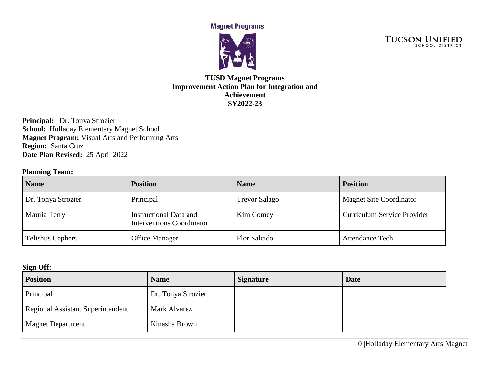**Magnet Programs** 



**TUCSON UNIFIED** 

## **TUSD Magnet Programs Improvement Action Plan for Integration and Achievement SY2022-23**

**Principal:** Dr. Tonya Strozier School: Holladay Elementary Magnet School **Magnet Program:** Visual Arts and Performing Arts **Region:** Santa Cruz **Date Plan Revised:** 25 April 2022

## **Planning Team:**

| <b>Name</b>        | <b>Position</b>                                            | <b>Name</b>          | <b>Position</b>                |
|--------------------|------------------------------------------------------------|----------------------|--------------------------------|
| Dr. Tonya Strozier | Principal                                                  | <b>Trevor Salago</b> | <b>Magnet Site Coordinator</b> |
| Mauria Terry       | Instructional Data and<br><b>Interventions Coordinator</b> | Kim Comey            | Curriculum Service Provider    |
| Telishus Cephers   | <b>Office Manager</b>                                      | Flor Salcido         | <b>Attendance Tech</b>         |

#### **Sign Off:**

| $\tilde{\phantom{a}}$<br><b>Position</b> | <b>Name</b>        | <b>Signature</b> | <b>Date</b> |
|------------------------------------------|--------------------|------------------|-------------|
| Principal                                | Dr. Tonya Strozier |                  |             |
| <b>Regional Assistant Superintendent</b> | Mark Alvarez       |                  |             |
| <b>Magnet Department</b>                 | Kinasha Brown      |                  |             |

0 |Holladay Elementary Arts Magnet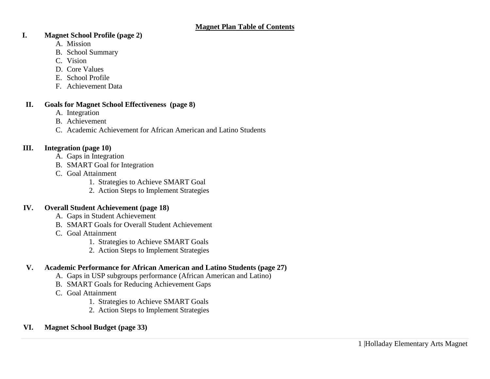#### **I. Magnet School Profile (page 2)**

- A. Mission
- B. School Summary
- C. Vision
- D. Core Values
- E. School Profile
- F. Achievement Data

#### **II. Goals for Magnet School Effectiveness (page 8)**

- A. Integration
- B. Achievement
- C. Academic Achievement for African American and Latino Students

## **III. Integration (page 10)**

- A. Gaps in Integration
- B. SMART Goal for Integration
- C. Goal Attainment
	- 1. Strategies to Achieve SMART Goal
	- 2. Action Steps to Implement Strategies

## **IV. Overall Student Achievement (page 18)**

- A. Gaps in Student Achievement
- B. SMART Goals for Overall Student Achievement
- C. Goal Attainment
	- 1. Strategies to Achieve SMART Goals
	- 2. Action Steps to Implement Strategies

## **V. Academic Performance for African American and Latino Students (page 27)**

- A. Gaps in USP subgroups performance (African American and Latino)
- B. SMART Goals for Reducing Achievement Gaps
- C. Goal Attainment
	- 1. Strategies to Achieve SMART Goals
	- 2. Action Steps to Implement Strategies

## **VI. Magnet School Budget (page 33)**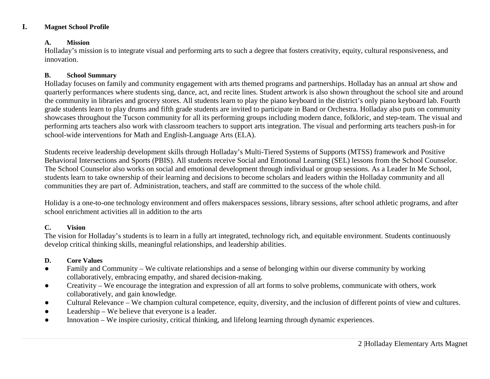#### **I. Magnet School Profile**

#### **A. Mission**

Holladay's mission is to integrate visual and performing arts to such a degree that fosters creativity, equity, cultural responsiveness, and innovation.

#### **B. School Summary**

Holladay focuses on family and community engagement with arts themed programs and partnerships. Holladay has an annual art show and quarterly performances where students sing, dance, act, and recite lines. Student artwork is also shown throughout the school site and around the community in libraries and grocery stores. All students learn to play the piano keyboard in the district's only piano keyboard lab. Fourth grade students learn to play drums and fifth grade students are invited to participate in Band or Orchestra. Holladay also puts on community showcases throughout the Tucson community for all its performing groups including modern dance, folkloric, and step-team. The visual and performing arts teachers also work with classroom teachers to support arts integration. The visual and performing arts teachers push-in for school-wide interventions for Math and English-Language Arts (ELA).

Students receive leadership development skills through Holladay's Multi-Tiered Systems of Supports (MTSS) framework and Positive Behavioral Intersections and Sports (PBIS). All students receive Social and Emotional Learning (SEL) lessons from the School Counselor. The School Counselor also works on social and emotional development through individual or group sessions. As a Leader In Me School, students learn to take ownership of their learning and decisions to become scholars and leaders within the Holladay community and all communities they are part of. Administration, teachers, and staff are committed to the success of the whole child.

Holiday is a one-to-one technology environment and offers makerspaces sessions, library sessions, after school athletic programs, and after school enrichment activities all in addition to the arts

#### **C. Vision**

The vision for Holladay's students is to learn in a fully art integrated, technology rich, and equitable environment. Students continuously develop critical thinking skills, meaningful relationships, and leadership abilities.

#### **D. Core Values**

- Family and Community We cultivate relationships and a sense of belonging within our diverse community by working collaboratively, embracing empathy, and shared decision-making.
- Creativity We encourage the integration and expression of all art forms to solve problems, communicate with others, work collaboratively, and gain knowledge.
- Cultural Relevance We champion cultural competence, equity, diversity, and the inclusion of different points of view and cultures.
- Leadership We believe that everyone is a leader.
- Innovation We inspire curiosity, critical thinking, and lifelong learning through dynamic experiences.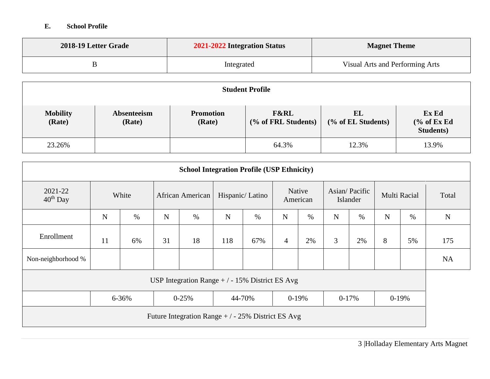## **E. School Profile**

| 2018-19 Letter Grade | 2021-2022 Integration Status | <b>Magnet Theme</b>             |
|----------------------|------------------------------|---------------------------------|
|                      | Integrated                   | Visual Arts and Performing Arts |

|                           | <b>Student Profile</b> |                            |                                        |                          |                                         |  |  |  |
|---------------------------|------------------------|----------------------------|----------------------------------------|--------------------------|-----------------------------------------|--|--|--|
| <b>Mobility</b><br>(Rate) | Absenteeism<br>(Rate)  | <b>Promotion</b><br>(Rate) | <b>F&amp;RL</b><br>(% of FRL Students) | EL<br>(% of EL Students) | Ex Ed<br>% of ExEd<br><b>Students</b> ) |  |  |  |
| 23.26%                    |                        |                            | 64.3%                                  | 12.3%                    | 13.9%                                   |  |  |  |

| <b>School Integration Profile (USP Ethnicity)</b>             |                                                 |       |    |                  |             |                 |                |                    |                |                           |              |      |             |
|---------------------------------------------------------------|-------------------------------------------------|-------|----|------------------|-------------|-----------------|----------------|--------------------|----------------|---------------------------|--------------|------|-------------|
| 2021-22<br>$40^{th}$ Day                                      |                                                 | White |    | African American |             | Hispanic/Latino |                | Native<br>American |                | Asian/Pacific<br>Islander | Multi Racial |      | Total       |
|                                                               | N                                               | $\%$  | N  | $\%$             | $\mathbf N$ | $\%$            | $\mathbf N$    | $\%$               | $\mathbf N$    | $\%$                      | $\mathbf N$  | $\%$ | $\mathbf N$ |
| Enrollment                                                    | 11                                              | 6%    | 31 | 18               | 118         | 67%             | $\overline{4}$ | 2%                 | $\mathfrak{Z}$ | 2%                        | 8            | 5%   | 175         |
| Non-neighborhood %                                            |                                                 |       |    |                  |             |                 |                |                    |                |                           |              |      | <b>NA</b>   |
|                                                               | USP Integration Range $+/-15\%$ District ES Avg |       |    |                  |             |                 |                |                    |                |                           |              |      |             |
| $0 - 25%$<br>44-70%<br>$0-19%$<br>$0-19%$<br>6-36%<br>$0-17%$ |                                                 |       |    |                  |             |                 |                |                    |                |                           |              |      |             |
| Future Integration Range $+/-25\%$ District ES Avg            |                                                 |       |    |                  |             |                 |                |                    |                |                           |              |      |             |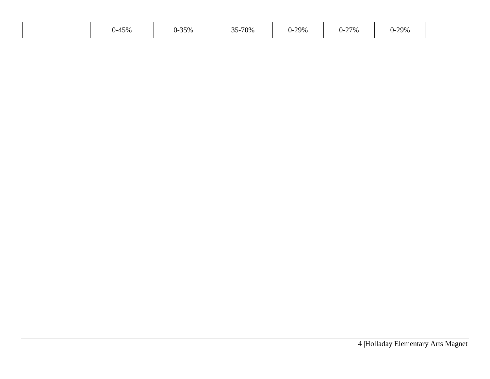| $0 - 45%$ | $-35%$<br>O – | 35-70% | $0 - 29%$ | $-27%$<br>U-. | $-29%$<br>∩<br>U-. |
|-----------|---------------|--------|-----------|---------------|--------------------|
|           |               |        |           |               |                    |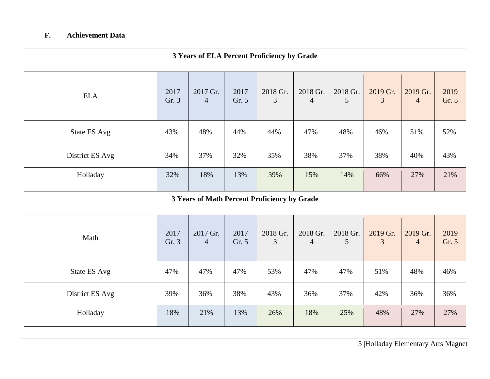# **F. Achievement Data**

|                     | 3 Years of ELA Percent Proficiency by Grade |                            |               |                                              |                            |               |               |                            |               |
|---------------------|---------------------------------------------|----------------------------|---------------|----------------------------------------------|----------------------------|---------------|---------------|----------------------------|---------------|
| <b>ELA</b>          | 2017<br>Gr. 3                               | 2017 Gr.<br>$\overline{4}$ | 2017<br>Gr. 5 | 2018 Gr.<br>3                                | 2018 Gr.<br>$\overline{4}$ | 2018 Gr.<br>5 | 2019 Gr.<br>3 | 2019 Gr.<br>$\overline{4}$ | 2019<br>Gr. 5 |
| <b>State ES Avg</b> | 43%                                         | 48%                        | 44%           | 44%                                          | 47%                        | 48%           | 46%           | 51%                        | 52%           |
| District ES Avg     | 34%                                         | 37%                        | 32%           | 35%                                          | 38%                        | 37%           | 38%           | 40%                        | 43%           |
| Holladay            | 32%                                         | 18%                        | 13%           | 39%                                          | 15%                        | 14%           | 66%           | 27%                        | 21%           |
|                     |                                             |                            |               | 3 Years of Math Percent Proficiency by Grade |                            |               |               |                            |               |
| Math                | 2017<br>Gr. 3                               | 2017 Gr.<br>$\overline{4}$ | 2017<br>Gr. 5 | 2018 Gr.<br>3                                | 2018 Gr.<br>$\overline{4}$ | 2018 Gr.<br>5 | 2019 Gr.<br>3 | 2019 Gr.<br>$\overline{4}$ | 2019<br>Gr. 5 |
| <b>State ES Avg</b> | 47%                                         | 47%                        | 47%           | 53%                                          | 47%                        | 47%           | 51%           | 48%                        | 46%           |
| District ES Avg     | 39%                                         | 36%                        | 38%           | 43%                                          | 36%                        | 37%           | 42%           | 36%                        | 36%           |
| Holladay            | 18%                                         | 21%                        | 13%           | 26%                                          | 18%                        | 25%           | 48%           | 27%                        | 27%           |

5 |Holladay Elementary Arts Magnet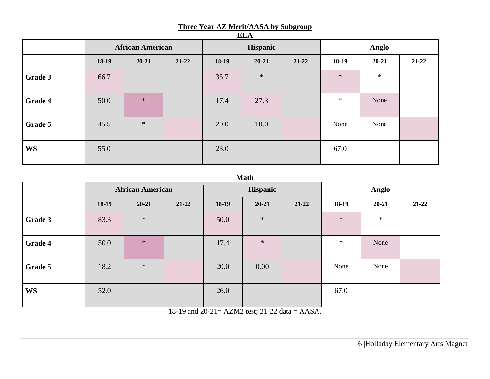#### **Three Year AZ Merit/AASA by Subgroup**

|           | <b>African American</b> |           | Hispanic  |         |           | Anglo     |         |           |           |
|-----------|-------------------------|-----------|-----------|---------|-----------|-----------|---------|-----------|-----------|
|           | 18-19                   | $20 - 21$ | $21 - 22$ | $18-19$ | $20 - 21$ | $21 - 22$ | $18-19$ | $20 - 21$ | $21 - 22$ |
| Grade 3   | 66.7                    |           |           | 35.7    | $\ast$    |           | $\ast$  | $\ast$    |           |
| Grade 4   | 50.0                    | $\ast$    |           | 17.4    | 27.3      |           | $\ast$  | None      |           |
| Grade 5   | 45.5                    | $\ast$    |           | 20.0    | 10.0      |           | None    | None      |           |
| <b>WS</b> | 55.0                    |           |           | 23.0    |           |           | 67.0    |           |           |

## **ELA**

#### **Math**

|           | <b>African American</b> |           | Hispanic  |         |           | Anglo     |         |           |           |
|-----------|-------------------------|-----------|-----------|---------|-----------|-----------|---------|-----------|-----------|
|           | $18-19$                 | $20 - 21$ | $21 - 22$ | $18-19$ | $20 - 21$ | $21 - 22$ | $18-19$ | $20 - 21$ | $21 - 22$ |
| Grade 3   | 83.3                    | $\ast$    |           | 50.0    | $\ast$    |           | $\ast$  | $\ast$    |           |
| Grade 4   | 50.0                    | $\ast$    |           | 17.4    | $\ast$    |           | $\ast$  | None      |           |
| Grade 5   | 18.2                    | $\ast$    |           | 20.0    | 0.00      |           | None    | None      |           |
| <b>WS</b> | 52.0                    |           |           | 26.0    |           |           | 67.0    |           |           |

18-19 and 20-21= AZM2 test; 21-22 data = AASA.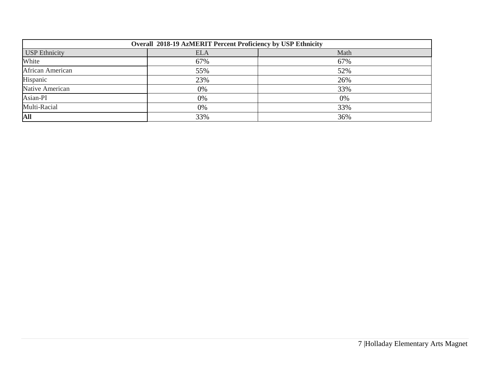| Overall 2018-19 AzMERIT Percent Proficiency by USP Ethnicity |            |      |  |  |  |  |  |
|--------------------------------------------------------------|------------|------|--|--|--|--|--|
| <b>USP</b> Ethnicity                                         | <b>ELA</b> | Math |  |  |  |  |  |
| White                                                        | 67%        | 67%  |  |  |  |  |  |
| African American                                             | 55%        | 52%  |  |  |  |  |  |
| Hispanic                                                     | 23%        | 26%  |  |  |  |  |  |
| Native American                                              | 0%         | 33%  |  |  |  |  |  |
| Asian-PI                                                     | 0%         | 0%   |  |  |  |  |  |
| Multi-Racial                                                 | 0%         | 33%  |  |  |  |  |  |
| <b>All</b>                                                   | 33%        | 36%  |  |  |  |  |  |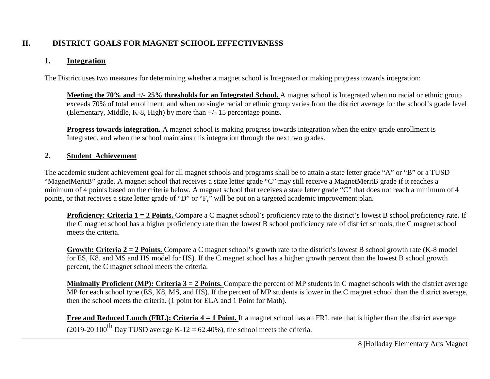# **II. DISTRICT GOALS FOR MAGNET SCHOOL EFFECTIVENESS**

#### **1. Integration**

The District uses two measures for determining whether a magnet school is Integrated or making progress towards integration:

**Meeting the 70% and +/- 25% thresholds for an Integrated School.** A magnet school is Integrated when no racial or ethnic group exceeds 70% of total enrollment; and when no single racial or ethnic group varies from the district average for the school's grade level (Elementary, Middle, K-8, High) by more than +/- 15 percentage points.

**Progress towards integration.** A magnet school is making progress towards integration when the entry-grade enrollment is Integrated, and when the school maintains this integration through the next two grades.

#### **2. Student Achievement**

The academic student achievement goal for all magnet schools and programs shall be to attain a state letter grade "A" or "B" or a TUSD "MagnetMeritB" grade. A magnet school that receives a state letter grade "C" may still receive a MagnetMeritB grade if it reaches a minimum of 4 points based on the criteria below. A magnet school that receives a state letter grade "C" that does not reach a minimum of 4 points, or that receives a state letter grade of "D" or "F," will be put on a targeted academic improvement plan.

**Proficiency: Criteria 1 = 2 Points.** Compare a C magnet school's proficiency rate to the district's lowest B school proficiency rate. If the C magnet school has a higher proficiency rate than the lowest B school proficiency rate of district schools, the C magnet school meets the criteria.

**Growth: Criteria 2 = 2 Points.** Compare a C magnet school's growth rate to the district's lowest B school growth rate (K-8 model) for ES, K8, and MS and HS model for HS). If the C magnet school has a higher growth percent than the lowest B school growth percent, the C magnet school meets the criteria.

**Minimally Proficient (MP): Criteria 3 = 2 Points.** Compare the percent of MP students in C magnet schools with the district average MP for each school type (ES, K8, MS, and HS). If the percent of MP students is lower in the C magnet school than the district average, then the school meets the criteria. (1 point for ELA and 1 Point for Math).

**Free and Reduced Lunch (FRL): Criteria 4 = 1 Point.** If a magnet school has an FRL rate that is higher than the district average (2019-20 100<sup>th</sup> Day TUSD average K-12 = 62.40%), the school meets the criteria.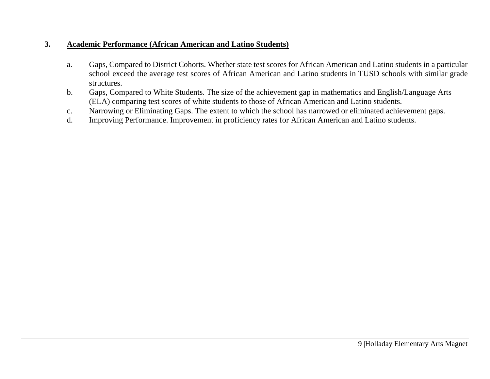## **3. Academic Performance (African American and Latino Students)**

- a. Gaps, Compared to District Cohorts. Whether state test scores for African American and Latino students in a particular school exceed the average test scores of African American and Latino students in TUSD schools with similar grade structures.
- b. Gaps, Compared to White Students. The size of the achievement gap in mathematics and English/Language Arts (ELA) comparing test scores of white students to those of African American and Latino students.
- c. Narrowing or Eliminating Gaps. The extent to which the school has narrowed or eliminated achievement gaps.
- d. Improving Performance. Improvement in proficiency rates for African American and Latino students.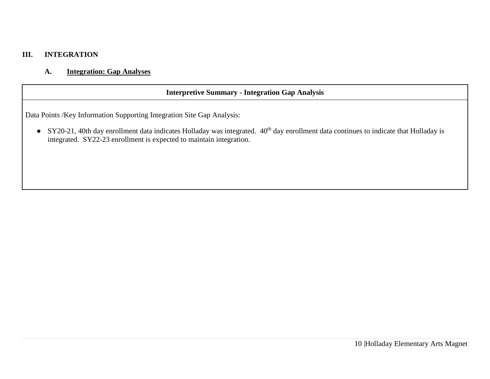#### **III. INTEGRATION**

## **A. Integration: Gap Analyses**

# **Interpretive Summary - Integration Gap Analysis**

Data Points /Key Information Supporting Integration Site Gap Analysis:

● SY20-21, 40th day enrollment data indicates Holladay was integrated. 40<sup>th</sup> day enrollment data continues to indicate that Holladay is integrated. SY22-23 enrollment is expected to maintain integration.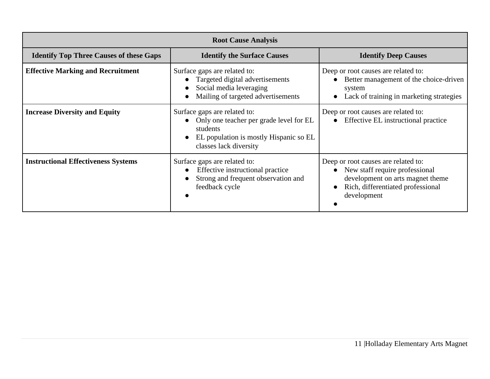|                                                | <b>Root Cause Analysis</b>                                                                                                                                           |                                                                                                                                                               |  |  |  |  |  |  |
|------------------------------------------------|----------------------------------------------------------------------------------------------------------------------------------------------------------------------|---------------------------------------------------------------------------------------------------------------------------------------------------------------|--|--|--|--|--|--|
| <b>Identify Top Three Causes of these Gaps</b> | <b>Identify the Surface Causes</b>                                                                                                                                   | <b>Identify Deep Causes</b>                                                                                                                                   |  |  |  |  |  |  |
| <b>Effective Marking and Recruitment</b>       | Surface gaps are related to:<br>Targeted digital advertisements<br>Social media leveraging<br>Mailing of targeted advertisements                                     | Deep or root causes are related to:<br>Better management of the choice-driven<br>system<br>Lack of training in marketing strategies                           |  |  |  |  |  |  |
| <b>Increase Diversity and Equity</b>           | Surface gaps are related to:<br>Only one teacher per grade level for EL<br>$\bullet$<br>students<br>EL population is mostly Hispanic so EL<br>classes lack diversity | Deep or root causes are related to:<br>Effective EL instructional practice                                                                                    |  |  |  |  |  |  |
| <b>Instructional Effectiveness Systems</b>     | Surface gaps are related to:<br>Effective instructional practice<br>Strong and frequent observation and<br>feedback cycle                                            | Deep or root causes are related to:<br>New staff require professional<br>development on arts magnet theme<br>Rich, differentiated professional<br>development |  |  |  |  |  |  |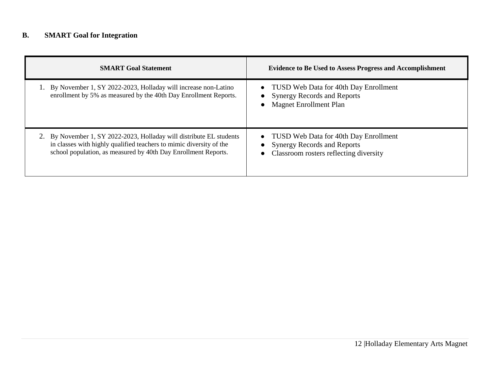# **B. SMART Goal for Integration**

| <b>SMART Goal Statement</b>                                                                                                                                                                                   | <b>Evidence to Be Used to Assess Progress and Accomplishment</b>                                                   |
|---------------------------------------------------------------------------------------------------------------------------------------------------------------------------------------------------------------|--------------------------------------------------------------------------------------------------------------------|
| By November 1, SY 2022-2023, Holladay will increase non-Latino<br>enrollment by 5% as measured by the 40th Day Enrollment Reports.                                                                            | • TUSD Web Data for 40th Day Enrollment<br>• Synergy Records and Reports<br><b>Magnet Enrollment Plan</b>          |
| 2. By November 1, SY 2022-2023, Holladay will distribute EL students<br>in classes with highly qualified teachers to mimic diversity of the<br>school population, as measured by 40th Day Enrollment Reports. | • TUSD Web Data for 40th Day Enrollment<br>• Synergy Records and Reports<br>Classroom rosters reflecting diversity |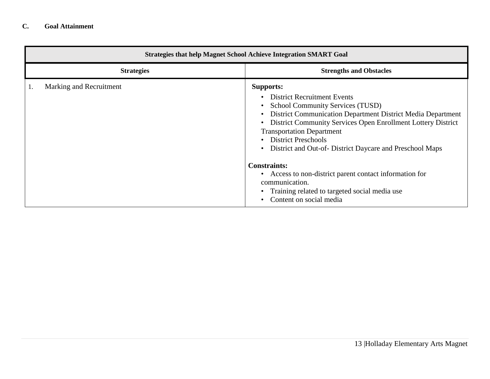|    | <b>Strategies that help Magnet School Achieve Integration SMART Goal</b> |                                                                                                                                                                                                                                                                                                                                                                                                                                                                                                                                             |  |  |  |  |
|----|--------------------------------------------------------------------------|---------------------------------------------------------------------------------------------------------------------------------------------------------------------------------------------------------------------------------------------------------------------------------------------------------------------------------------------------------------------------------------------------------------------------------------------------------------------------------------------------------------------------------------------|--|--|--|--|
|    | <b>Strategies</b>                                                        | <b>Strengths and Obstacles</b>                                                                                                                                                                                                                                                                                                                                                                                                                                                                                                              |  |  |  |  |
| 1. | Marking and Recruitment                                                  | <b>Supports:</b><br><b>District Recruitment Events</b><br><b>School Community Services (TUSD)</b><br>District Communication Department District Media Department<br>District Community Services Open Enrollment Lottery District<br><b>Transportation Department</b><br><b>District Preschools</b><br>District and Out-of-District Daycare and Preschool Maps<br><b>Constraints:</b><br>Access to non-district parent contact information for<br>communication.<br>Training related to targeted social media use<br>Content on social media |  |  |  |  |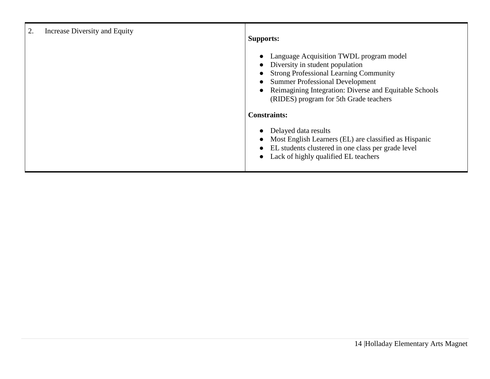| 2.<br>Increase Diversity and Equity | <b>Supports:</b>                                                                                                                                                                                                                                                                                                              |
|-------------------------------------|-------------------------------------------------------------------------------------------------------------------------------------------------------------------------------------------------------------------------------------------------------------------------------------------------------------------------------|
|                                     | Language Acquisition TWDL program model<br>$\bullet$<br>Diversity in student population<br>$\bullet$<br><b>Strong Professional Learning Community</b><br>$\bullet$<br><b>Summer Professional Development</b><br>Reimagining Integration: Diverse and Equitable Schools<br>$\bullet$<br>(RIDES) program for 5th Grade teachers |
|                                     | <b>Constraints:</b>                                                                                                                                                                                                                                                                                                           |
|                                     | Delayed data results<br>$\bullet$<br>Most English Learners (EL) are classified as Hispanic<br>$\bullet$<br>EL students clustered in one class per grade level<br>$\bullet$<br>Lack of highly qualified EL teachers<br>$\bullet$                                                                                               |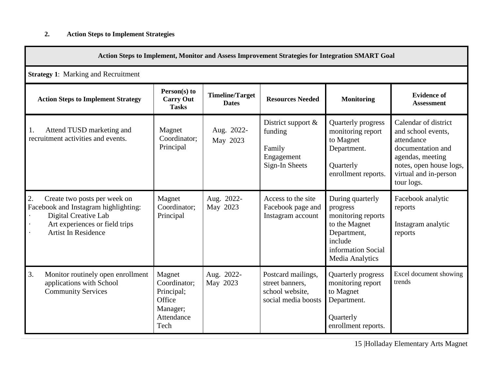| Action Steps to Implement, Monitor and Assess Improvement Strategies for Integration SMART Goal                                                                              |                                                                                  |                                        |                                                                                 |                                                                                                                                               |                                                                                                                                                                     |  |  |
|------------------------------------------------------------------------------------------------------------------------------------------------------------------------------|----------------------------------------------------------------------------------|----------------------------------------|---------------------------------------------------------------------------------|-----------------------------------------------------------------------------------------------------------------------------------------------|---------------------------------------------------------------------------------------------------------------------------------------------------------------------|--|--|
| <b>Strategy 1: Marking and Recruitment</b>                                                                                                                                   |                                                                                  |                                        |                                                                                 |                                                                                                                                               |                                                                                                                                                                     |  |  |
| <b>Action Steps to Implement Strategy</b>                                                                                                                                    | Person(s) to<br><b>Carry Out</b><br><b>Tasks</b>                                 | <b>Timeline/Target</b><br><b>Dates</b> | <b>Resources Needed</b>                                                         | <b>Monitoring</b>                                                                                                                             | <b>Evidence of</b><br><b>Assessment</b>                                                                                                                             |  |  |
| Attend TUSD marketing and<br>1.<br>recruitment activities and events.                                                                                                        | Magnet<br>Coordinator:<br>Principal                                              | Aug. 2022-<br>May 2023                 | District support &<br>funding<br>Family<br>Engagement<br>Sign-In Sheets         | Quarterly progress<br>monitoring report<br>to Magnet<br>Department.<br>Quarterly<br>enrollment reports.                                       | Calendar of district<br>and school events,<br>attendance<br>documentation and<br>agendas, meeting<br>notes, open house logs,<br>virtual and in-person<br>tour logs. |  |  |
| $\bullet$ 2.<br>Create two posts per week on<br>Facebook and Instagram highlighting:<br>Digital Creative Lab<br>Art experiences or field trips<br><b>Artist In Residence</b> | Magnet<br>Coordinator;<br>Principal                                              | Aug. 2022-<br>May 2023                 | Access to the site<br>Facebook page and<br>Instagram account                    | During quarterly<br>progress<br>monitoring reports<br>to the Magnet<br>Department,<br>include<br>information Social<br><b>Media Analytics</b> | Facebook analytic<br>reports<br>Instagram analytic<br>reports                                                                                                       |  |  |
| 3.<br>Monitor routinely open enrollment<br>applications with School<br><b>Community Services</b>                                                                             | Magnet<br>Coordinator;<br>Principal;<br>Office<br>Manager;<br>Attendance<br>Tech | Aug. 2022-<br>May 2023                 | Postcard mailings,<br>street banners,<br>school website,<br>social media boosts | Quarterly progress<br>monitoring report<br>to Magnet<br>Department.<br>Quarterly<br>enrollment reports.                                       | Excel document showing<br>trends                                                                                                                                    |  |  |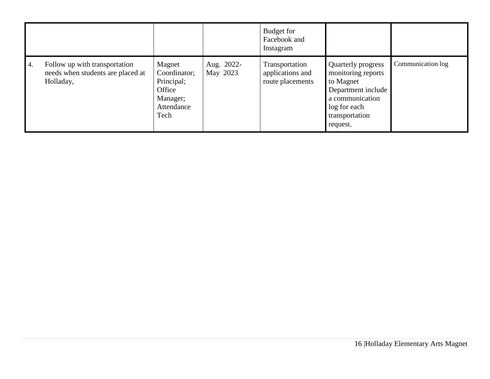|    |                                                                                 |                                                                                  |                        | Budget for<br>Facebook and<br>Instagram                |                                                                                                                                              |                   |
|----|---------------------------------------------------------------------------------|----------------------------------------------------------------------------------|------------------------|--------------------------------------------------------|----------------------------------------------------------------------------------------------------------------------------------------------|-------------------|
| 4. | Follow up with transportation<br>needs when students are placed at<br>Holladay, | Magnet<br>Coordinator;<br>Principal;<br>Office<br>Manager;<br>Attendance<br>Tech | Aug. 2022-<br>May 2023 | Transportation<br>applications and<br>route placements | Quarterly progress<br>monitoring reports<br>to Magnet<br>Department include<br>a communication<br>log for each<br>transportation<br>request. | Communication log |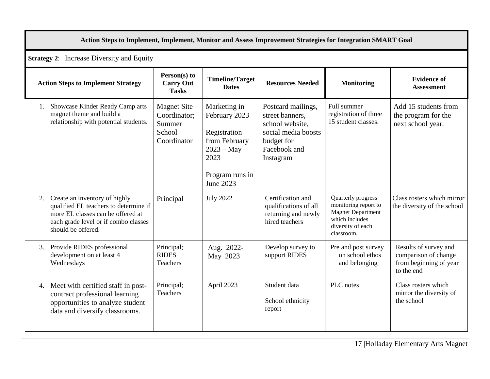| Action Steps to Implement, Implement, Monitor and Assess Improvement Strategies for Integration SMART Goal                                                                   |                                                                       |                                                                                                                        |                                                                                                                            |                                                                                                                             |                                                                                       |  |  |  |
|------------------------------------------------------------------------------------------------------------------------------------------------------------------------------|-----------------------------------------------------------------------|------------------------------------------------------------------------------------------------------------------------|----------------------------------------------------------------------------------------------------------------------------|-----------------------------------------------------------------------------------------------------------------------------|---------------------------------------------------------------------------------------|--|--|--|
| <b>Strategy 2:</b> Increase Diversity and Equity                                                                                                                             |                                                                       |                                                                                                                        |                                                                                                                            |                                                                                                                             |                                                                                       |  |  |  |
| <b>Action Steps to Implement Strategy</b>                                                                                                                                    | Person(s) to<br><b>Carry Out</b><br><b>Tasks</b>                      | <b>Timeline/Target</b><br><b>Dates</b>                                                                                 | <b>Resources Needed</b>                                                                                                    | <b>Monitoring</b>                                                                                                           | <b>Evidence of</b><br><b>Assessment</b>                                               |  |  |  |
| 1. Showcase Kinder Ready Camp arts<br>magnet theme and build a<br>relationship with potential students.                                                                      | <b>Magnet Site</b><br>Coordinator;<br>Summer<br>School<br>Coordinator | Marketing in<br>February 2023<br>Registration<br>from February<br>$2023 - May$<br>2023<br>Program runs in<br>June 2023 | Postcard mailings,<br>street banners.<br>school website,<br>social media boosts<br>budget for<br>Facebook and<br>Instagram | Full summer<br>registration of three<br>15 student classes.                                                                 | Add 15 students from<br>the program for the<br>next school year.                      |  |  |  |
| 2. Create an inventory of highly<br>qualified EL teachers to determine if<br>more EL classes can be offered at<br>each grade level or if combo classes<br>should be offered. | Principal                                                             | <b>July 2022</b>                                                                                                       | Certification and<br>qualifications of all<br>returning and newly<br>hired teachers                                        | Quarterly progress<br>monitoring report to<br><b>Magnet Department</b><br>which includes<br>diversity of each<br>classroom. | Class rosters which mirror<br>the diversity of the school                             |  |  |  |
| 3. Provide RIDES professional<br>development on at least 4<br>Wednesdays                                                                                                     | Principal;<br><b>RIDES</b><br>Teachers                                | Aug. 2022-<br>May 2023                                                                                                 | Develop survey to<br>support RIDES                                                                                         | Pre and post survey<br>on school ethos<br>and belonging                                                                     | Results of survey and<br>comparison of change<br>from beginning of year<br>to the end |  |  |  |
| 4. Meet with certified staff in post-<br>contract professional learning<br>opportunities to analyze student<br>data and diversify classrooms.                                | Principal;<br><b>Teachers</b>                                         | April 2023                                                                                                             | Student data<br>School ethnicity<br>report                                                                                 | PLC notes                                                                                                                   | Class rosters which<br>mirror the diversity of<br>the school                          |  |  |  |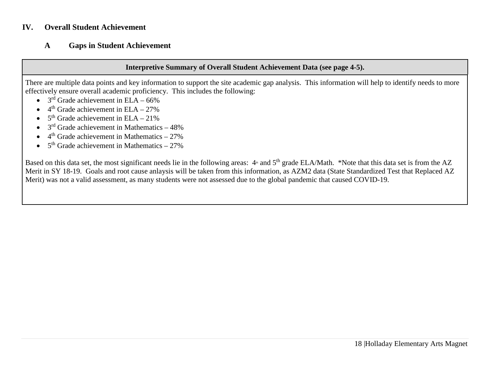#### **IV. Overall Student Achievement**

## **A Gaps in Student Achievement**

#### **Interpretive Summary of Overall Student Achievement Data (see page 4-5).**

There are multiple data points and key information to support the site academic gap analysis. This information will help to identify needs to more effectively ensure overall academic proficiency. This includes the following:

- $3<sup>rd</sup>$  Grade achievement in ELA 66%
- $4<sup>th</sup>$  Grade achievement in ELA 27%
- $5<sup>th</sup>$  Grade achievement in ELA 21%
- $3<sup>rd</sup>$  Grade achievement in Mathematics  $-48%$
- $\bullet$  4<sup>th</sup> Grade achievement in Mathematics 27%
- $5<sup>th</sup>$  Grade achievement in Mathematics 27%

Based on this data set, the most significant needs lie in the following areas:  $4*$  and  $5<sup>th</sup>$  grade ELA/Math. \*Note that this data set is from the AZ Merit in SY 18-19. Goals and root cause anlaysis will be taken from this information, as AZM2 data (State Standardized Test that Replaced AZ Merit) was not a valid assessment, as many students were not assessed due to the global pandemic that caused COVID-19.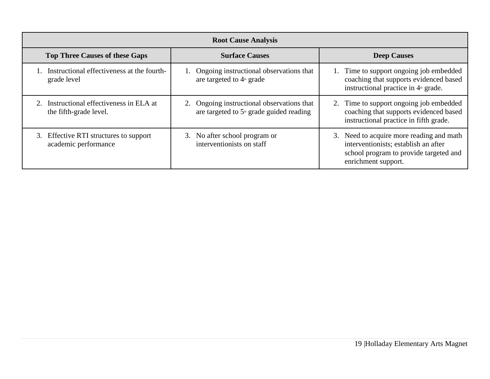| <b>Root Cause Analysis</b>                                         |                                                                                                    |                                                                                                                                                   |  |  |  |  |  |
|--------------------------------------------------------------------|----------------------------------------------------------------------------------------------------|---------------------------------------------------------------------------------------------------------------------------------------------------|--|--|--|--|--|
| <b>Top Three Causes of these Gaps</b>                              | <b>Surface Causes</b>                                                                              | <b>Deep Causes</b>                                                                                                                                |  |  |  |  |  |
| 1. Instructional effectiveness at the fourth-<br>grade level       | 1. Ongoing instructional observations that<br>are targeted to 4 <sup>th</sup> grade                | 1. Time to support ongoing job embedded<br>coaching that supports evidenced based<br>instructional practice in $4th$ grade.                       |  |  |  |  |  |
| 2. Instructional effectiveness in ELA at<br>the fifth-grade level. | 2. Ongoing instructional observations that<br>are targeted to 5 <sup>th</sup> grade guided reading | 2. Time to support ongoing job embedded<br>coaching that supports evidenced based<br>instructional practice in fifth grade.                       |  |  |  |  |  |
| 3. Effective RTI structures to support<br>academic performance     | 3. No after school program or<br>interventionists on staff                                         | 3. Need to acquire more reading and math<br>interventionists; establish an after<br>school program to provide targeted and<br>enrichment support. |  |  |  |  |  |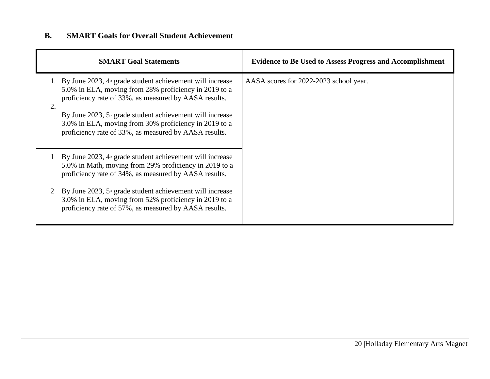# **B. SMART Goals for Overall Student Achievement**

|    | <b>SMART Goal Statements</b>                                                                                                                                                                                                                                                                                                                                     | <b>Evidence to Be Used to Assess Progress and Accomplishment</b> |
|----|------------------------------------------------------------------------------------------------------------------------------------------------------------------------------------------------------------------------------------------------------------------------------------------------------------------------------------------------------------------|------------------------------------------------------------------|
| 2. | 1. By June 2023, $4*$ grade student achievement will increase<br>5.0% in ELA, moving from 28% proficiency in 2019 to a<br>proficiency rate of 33%, as measured by AASA results.<br>By June 2023, $5th$ grade student achievement will increase<br>3.0% in ELA, moving from 30% proficiency in 2019 to a<br>proficiency rate of 33%, as measured by AASA results. | AASA scores for 2022-2023 school year.                           |
|    | By June 2023, $4th$ grade student achievement will increase<br>5.0% in Math, moving from 29% proficiency in 2019 to a<br>proficiency rate of 34%, as measured by AASA results.                                                                                                                                                                                   |                                                                  |
| 2  | By June 2023, $5th$ grade student achievement will increase<br>3.0% in ELA, moving from 52% proficiency in 2019 to a<br>proficiency rate of 57%, as measured by AASA results.                                                                                                                                                                                    |                                                                  |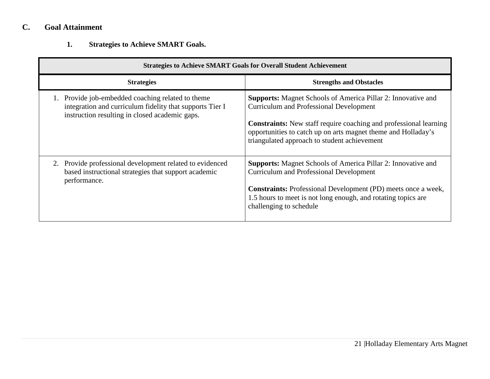# **C. Goal Attainment**

**1. Strategies to Achieve SMART Goals.**

| <b>Strategies to Achieve SMART Goals for Overall Student Achievement</b>                                                                                     |                                                                                                                                                                                                                                                                                                                    |  |  |  |  |
|--------------------------------------------------------------------------------------------------------------------------------------------------------------|--------------------------------------------------------------------------------------------------------------------------------------------------------------------------------------------------------------------------------------------------------------------------------------------------------------------|--|--|--|--|
| <b>Strategies</b>                                                                                                                                            | <b>Strengths and Obstacles</b>                                                                                                                                                                                                                                                                                     |  |  |  |  |
| Provide job-embedded coaching related to theme<br>integration and curriculum fidelity that supports Tier I<br>instruction resulting in closed academic gaps. | <b>Supports:</b> Magnet Schools of America Pillar 2: Innovative and<br><b>Curriculum and Professional Development</b><br><b>Constraints:</b> New staff require coaching and professional learning<br>opportunities to catch up on arts magnet theme and Holladay's<br>triangulated approach to student achievement |  |  |  |  |
| 2. Provide professional development related to evidenced<br>based instructional strategies that support academic<br>performance.                             | <b>Supports:</b> Magnet Schools of America Pillar 2: Innovative and<br><b>Curriculum and Professional Development</b><br><b>Constraints:</b> Professional Development (PD) meets once a week,<br>1.5 hours to meet is not long enough, and rotating topics are<br>challenging to schedule                          |  |  |  |  |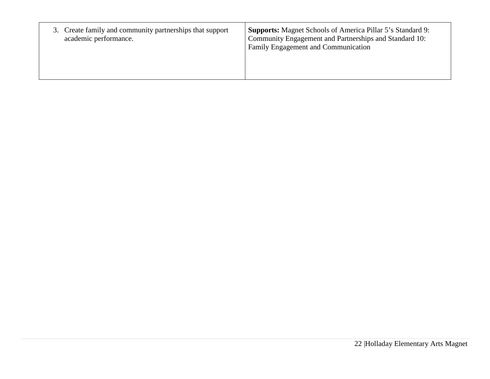| 3. Create family and community partnerships that support<br>academic performance. | <b>Supports:</b> Magnet Schools of America Pillar 5's Standard 9:<br>Community Engagement and Partnerships and Standard 10:<br>Family Engagement and Communication |
|-----------------------------------------------------------------------------------|--------------------------------------------------------------------------------------------------------------------------------------------------------------------|
|-----------------------------------------------------------------------------------|--------------------------------------------------------------------------------------------------------------------------------------------------------------------|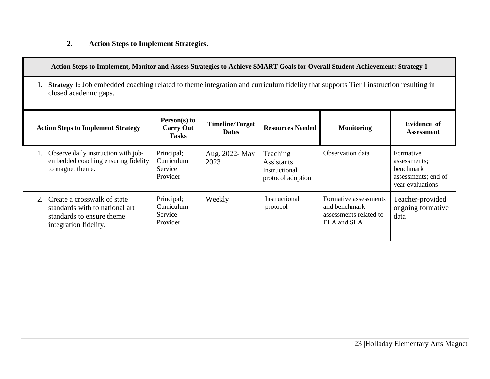# **2. Action Steps to Implement Strategies.**

|    | Action Steps to Implement, Monitor and Assess Strategies to Achieve SMART Goals for Overall Student Achievement: Strategy 1                                                                                                        |                                                 |                        |                                                              |                                                                                 |                                                                                   |  |  |
|----|------------------------------------------------------------------------------------------------------------------------------------------------------------------------------------------------------------------------------------|-------------------------------------------------|------------------------|--------------------------------------------------------------|---------------------------------------------------------------------------------|-----------------------------------------------------------------------------------|--|--|
|    | <b>Strategy 1:</b> Job embedded coaching related to theme integration and curriculum fidelity that supports Tier I instruction resulting in<br>closed academic gaps.                                                               |                                                 |                        |                                                              |                                                                                 |                                                                                   |  |  |
|    | Person(s) to<br><b>Timeline/Target</b><br><b>Evidence</b> of<br><b>Resources Needed</b><br><b>Action Steps to Implement Strategy</b><br><b>Carry Out</b><br><b>Monitoring</b><br><b>Dates</b><br><b>Assessment</b><br><b>Tasks</b> |                                                 |                        |                                                              |                                                                                 |                                                                                   |  |  |
|    | Observe daily instruction with job-<br>embedded coaching ensuring fidelity<br>to magnet theme.                                                                                                                                     | Principal;<br>Curriculum<br>Service<br>Provider | Aug. 2022- May<br>2023 | Teaching<br>Assistants<br>Instructional<br>protocol adoption | Observation data                                                                | Formative<br>assessments;<br>benchmark<br>assessments; end of<br>year evaluations |  |  |
| 2. | Create a crosswalk of state<br>standards with to national art<br>standards to ensure theme.<br>integration fidelity.                                                                                                               | Principal;<br>Curriculum<br>Service<br>Provider | Weekly                 | Instructional<br>protocol                                    | Formative assessments<br>and benchmark<br>assessments related to<br>ELA and SLA | Teacher-provided<br>ongoing formative<br>data                                     |  |  |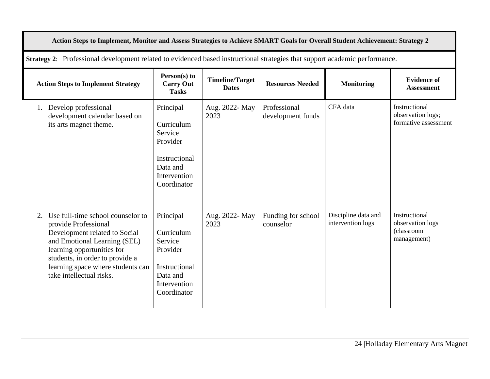| Action Steps to Implement, Monitor and Assess Strategies to Achieve SMART Goals for Overall Student Achievement: Strategy 2                                                                                                                                     |                                                                                                            |                                        |                                   |                                          |                                                                |  |  |
|-----------------------------------------------------------------------------------------------------------------------------------------------------------------------------------------------------------------------------------------------------------------|------------------------------------------------------------------------------------------------------------|----------------------------------------|-----------------------------------|------------------------------------------|----------------------------------------------------------------|--|--|
| Strategy 2: Professional development related to evidenced based instructional strategies that support academic performance.                                                                                                                                     |                                                                                                            |                                        |                                   |                                          |                                                                |  |  |
| <b>Action Steps to Implement Strategy</b>                                                                                                                                                                                                                       | Person(s) to<br><b>Carry Out</b><br><b>Tasks</b>                                                           | <b>Timeline/Target</b><br><b>Dates</b> | <b>Resources Needed</b>           | <b>Monitoring</b>                        | <b>Evidence of</b><br><b>Assessment</b>                        |  |  |
| Develop professional<br>1.<br>development calendar based on<br>its arts magnet theme.                                                                                                                                                                           | Principal<br>Curriculum<br>Service<br>Provider<br>Instructional<br>Data and<br>Intervention<br>Coordinator | Aug. 2022- May<br>2023                 | Professional<br>development funds | CFA data                                 | Instructional<br>observation logs;<br>formative assessment     |  |  |
| 2. Use full-time school counselor to<br>provide Professional<br>Development related to Social<br>and Emotional Learning (SEL)<br>learning opportunities for<br>students, in order to provide a<br>learning space where students can<br>take intellectual risks. | Principal<br>Curriculum<br>Service<br>Provider<br>Instructional<br>Data and<br>Intervention<br>Coordinator | Aug. 2022- May<br>2023                 | Funding for school<br>counselor   | Discipline data and<br>intervention logs | Instructional<br>observation logs<br>(classroom<br>management) |  |  |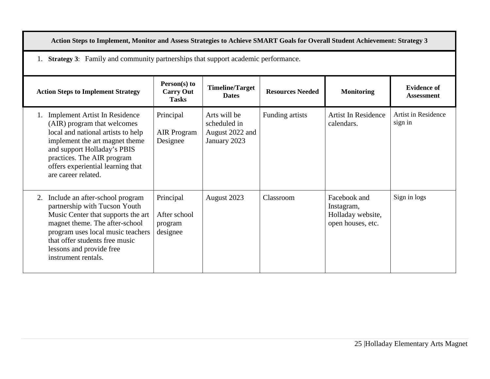| Action Steps to Implement, Monitor and Assess Strategies to Achieve SMART Goals for Overall Student Achievement: Strategy 3                                                                                                                                              |                                                  |                                                                 |                 |                                                                      |                                       |  |  |  |
|--------------------------------------------------------------------------------------------------------------------------------------------------------------------------------------------------------------------------------------------------------------------------|--------------------------------------------------|-----------------------------------------------------------------|-----------------|----------------------------------------------------------------------|---------------------------------------|--|--|--|
| <b>Strategy 3:</b> Family and community partnerships that support academic performance.<br>1.                                                                                                                                                                            |                                                  |                                                                 |                 |                                                                      |                                       |  |  |  |
| Person(s) to<br><b>Timeline/Target</b><br><b>Evidence of</b><br><b>Resources Needed</b><br><b>Carry Out</b><br><b>Monitoring</b><br><b>Action Steps to Implement Strategy</b><br><b>Dates</b><br><b>Assessment</b><br><b>Tasks</b>                                       |                                                  |                                                                 |                 |                                                                      |                                       |  |  |  |
| <b>Implement Artist In Residence</b><br>(AIR) program that welcomes<br>local and national artists to help<br>implement the art magnet theme<br>and support Holladay's PBIS<br>practices. The AIR program<br>offers experiential learning that<br>are career related.     | Principal<br><b>AIR</b> Program<br>Designee      | Arts will be<br>scheduled in<br>August 2022 and<br>January 2023 | Funding artists | Artist In Residence<br>calendars.                                    | <b>Artist in Residence</b><br>sign in |  |  |  |
| Include an after-school program<br>2.<br>partnership with Tucson Youth<br>Music Center that supports the art<br>magnet theme. The after-school<br>program uses local music teachers<br>that offer students free music<br>lessons and provide free<br>instrument rentals. | Principal<br>After school<br>program<br>designee | August 2023                                                     | Classroom       | Facebook and<br>Instagram,<br>Holladay website,<br>open houses, etc. | Sign in logs                          |  |  |  |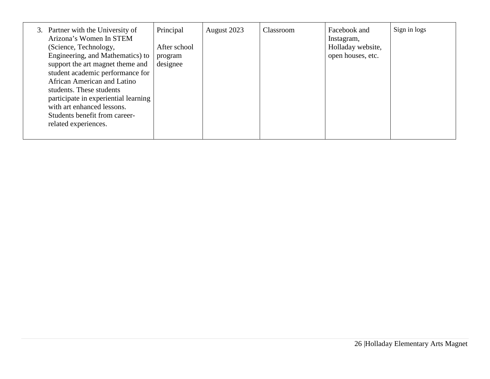| 3. Partner with the University of<br>Arizona's Women In STEM | Principal    | August 2023 | Classroom | Facebook and<br>Instagram, | Sign in logs |
|--------------------------------------------------------------|--------------|-------------|-----------|----------------------------|--------------|
| (Science, Technology,                                        | After school |             |           | Holladay website,          |              |
| Engineering, and Mathematics) to                             | program      |             |           | open houses, etc.          |              |
| support the art magnet theme and                             | designee     |             |           |                            |              |
| student academic performance for                             |              |             |           |                            |              |
| African American and Latino                                  |              |             |           |                            |              |
| students. These students                                     |              |             |           |                            |              |
| participate in experiential learning                         |              |             |           |                            |              |
| with art enhanced lessons.                                   |              |             |           |                            |              |
| Students benefit from career-                                |              |             |           |                            |              |
| related experiences.                                         |              |             |           |                            |              |
|                                                              |              |             |           |                            |              |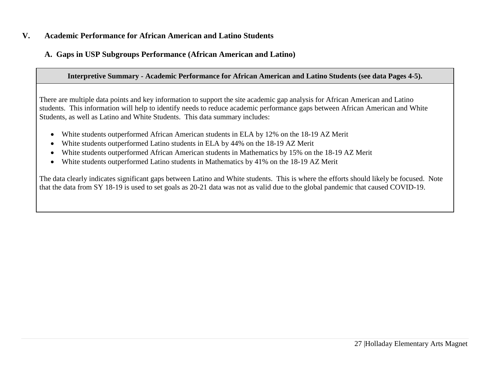### **V. Academic Performance for African American and Latino Students**

# **A. Gaps in USP Subgroups Performance (African American and Latino)**

#### **Interpretive Summary - Academic Performance for African American and Latino Students (see data Pages 4-5).**

There are multiple data points and key information to support the site academic gap analysis for African American and Latino students. This information will help to identify needs to reduce academic performance gaps between African American and White Students, as well as Latino and White Students. This data summary includes:

- White students outperformed African American students in ELA by 12% on the 18-19 AZ Merit
- White students outperformed Latino students in ELA by 44% on the 18-19 AZ Merit
- White students outperformed African American students in Mathematics by 15% on the 18-19 AZ Merit
- White students outperformed Latino students in Mathematics by 41% on the 18-19 AZ Merit

The data clearly indicates significant gaps between Latino and White students. This is where the efforts should likely be focused. Note that the data from SY 18-19 is used to set goals as 20-21 data was not as valid due to the global pandemic that caused COVID-19.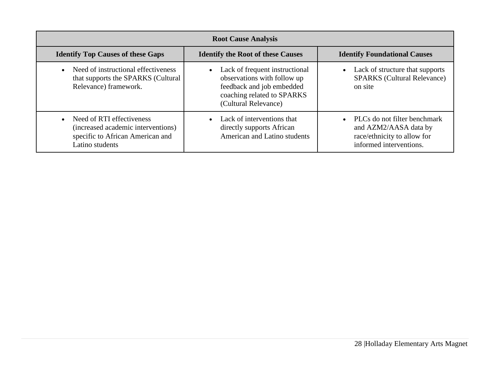| <b>Root Cause Analysis</b>                                                                                             |                                                                                                                                                               |                                                                                                                              |  |  |  |  |  |  |  |
|------------------------------------------------------------------------------------------------------------------------|---------------------------------------------------------------------------------------------------------------------------------------------------------------|------------------------------------------------------------------------------------------------------------------------------|--|--|--|--|--|--|--|
| <b>Identify Top Causes of these Gaps</b>                                                                               | <b>Identify the Root of these Causes</b>                                                                                                                      | <b>Identify Foundational Causes</b>                                                                                          |  |  |  |  |  |  |  |
| Need of instructional effectiveness<br>$\bullet$<br>that supports the SPARKS (Cultural<br>Relevance) framework.        | Lack of frequent instructional<br>$\bullet$<br>observations with follow up<br>feedback and job embedded<br>coaching related to SPARKS<br>(Cultural Relevance) | Lack of structure that supports<br>$\bullet$<br><b>SPARKS</b> (Cultural Relevance)<br>on site                                |  |  |  |  |  |  |  |
| Need of RTI effectiveness<br>(increased academic interventions)<br>specific to African American and<br>Latino students | • Lack of interventions that<br>directly supports African<br>American and Latino students                                                                     | PLCs do not filter benchmark<br>$\bullet$<br>and AZM2/AASA data by<br>race/ethnicity to allow for<br>informed interventions. |  |  |  |  |  |  |  |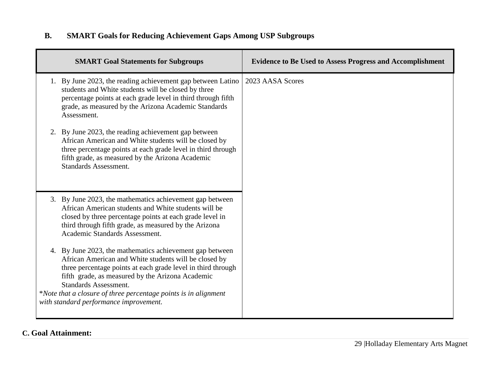# **B. SMART Goals for Reducing Achievement Gaps Among USP Subgroups**

| <b>SMART Goal Statements for Subgroups</b>                                                                                                                                                                                                                                                                                                                                         | <b>Evidence to Be Used to Assess Progress and Accomplishment</b> |
|------------------------------------------------------------------------------------------------------------------------------------------------------------------------------------------------------------------------------------------------------------------------------------------------------------------------------------------------------------------------------------|------------------------------------------------------------------|
| 1. By June 2023, the reading achievement gap between Latino<br>students and White students will be closed by three<br>percentage points at each grade level in third through fifth<br>grade, as measured by the Arizona Academic Standards<br>Assessment.                                                                                                                          | 2023 AASA Scores                                                 |
| 2. By June 2023, the reading achievement gap between<br>African American and White students will be closed by<br>three percentage points at each grade level in third through<br>fifth grade, as measured by the Arizona Academic<br><b>Standards Assessment.</b>                                                                                                                  |                                                                  |
| 3. By June 2023, the mathematics achievement gap between<br>African American students and White students will be<br>closed by three percentage points at each grade level in<br>third through fifth grade, as measured by the Arizona<br>Academic Standards Assessment.                                                                                                            |                                                                  |
| 4. By June 2023, the mathematics achievement gap between<br>African American and White students will be closed by<br>three percentage points at each grade level in third through<br>fifth grade, as measured by the Arizona Academic<br><b>Standards Assessment.</b><br>*Note that a closure of three percentage points is in alignment<br>with standard performance improvement. |                                                                  |

# **C. Goal Attainment:**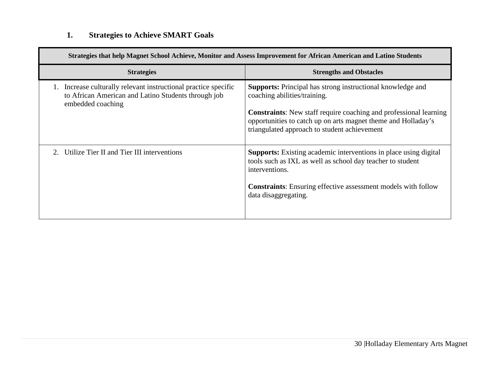# **1. Strategies to Achieve SMART Goals**

| Strategies that help Magnet School Achieve, Monitor and Assess Improvement for African American and Latino Students                      |                                                                                                                                                                                                                                                                                         |  |  |  |  |  |  |  |  |
|------------------------------------------------------------------------------------------------------------------------------------------|-----------------------------------------------------------------------------------------------------------------------------------------------------------------------------------------------------------------------------------------------------------------------------------------|--|--|--|--|--|--|--|--|
| <b>Strategies</b>                                                                                                                        | <b>Strengths and Obstacles</b>                                                                                                                                                                                                                                                          |  |  |  |  |  |  |  |  |
| Increase culturally relevant instructional practice specific<br>to African American and Latino Students through job<br>embedded coaching | Supports: Principal has strong instructional knowledge and<br>coaching abilities/training.<br><b>Constraints:</b> New staff require coaching and professional learning<br>opportunities to catch up on arts magnet theme and Holladay's<br>triangulated approach to student achievement |  |  |  |  |  |  |  |  |
| Utilize Tier II and Tier III interventions                                                                                               | <b>Supports:</b> Existing academic interventions in place using digital<br>tools such as IXL as well as school day teacher to student<br>interventions.<br><b>Constraints:</b> Ensuring effective assessment models with follow<br>data disaggregating.                                 |  |  |  |  |  |  |  |  |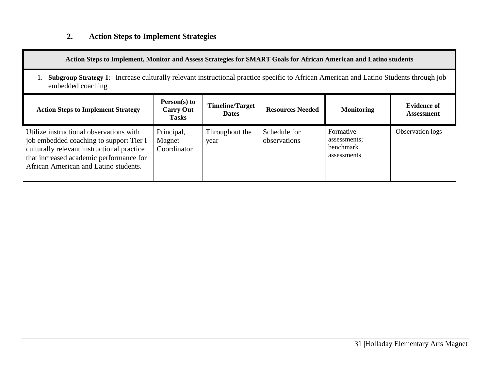# **2. Action Steps to Implement Strategies**

| Action Steps to Implement, Monitor and Assess Strategies for SMART Goals for African American and Latino students                                                                                                    |                                                    |                                        |                              |                                                       |                                         |  |
|----------------------------------------------------------------------------------------------------------------------------------------------------------------------------------------------------------------------|----------------------------------------------------|----------------------------------------|------------------------------|-------------------------------------------------------|-----------------------------------------|--|
| <b>Subgroup Strategy 1:</b> Increase culturally relevant instructional practice specific to African American and Latino Students through job<br>embedded coaching                                                    |                                                    |                                        |                              |                                                       |                                         |  |
| <b>Action Steps to Implement Strategy</b>                                                                                                                                                                            | $Person(s)$ to<br><b>Carry Out</b><br><b>Tasks</b> | <b>Timeline/Target</b><br><b>Dates</b> | <b>Resources Needed</b>      | <b>Monitoring</b>                                     | <b>Evidence of</b><br><b>Assessment</b> |  |
| Utilize instructional observations with<br>job embedded coaching to support Tier I<br>culturally relevant instructional practice<br>that increased academic performance for<br>African American and Latino students. | Principal,<br>Magnet<br>Coordinator                | Throughout the<br>year                 | Schedule for<br>observations | Formative<br>assessments;<br>benchmark<br>assessments | Observation logs                        |  |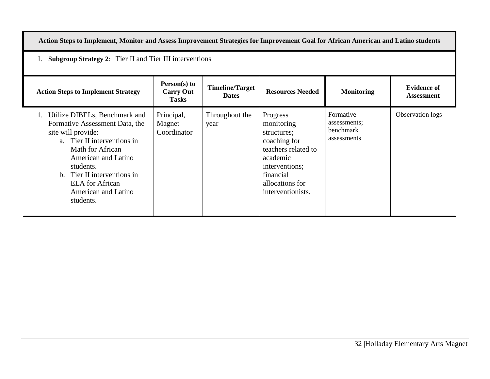| Action Steps to Implement, Monitor and Assess Improvement Strategies for Improvement Goal for African American and Latino students                                                                                                                                                |                                                                |                                        |                                                                                                                                                                 |                                                       |                                         |  |  |
|-----------------------------------------------------------------------------------------------------------------------------------------------------------------------------------------------------------------------------------------------------------------------------------|----------------------------------------------------------------|----------------------------------------|-----------------------------------------------------------------------------------------------------------------------------------------------------------------|-------------------------------------------------------|-----------------------------------------|--|--|
|                                                                                                                                                                                                                                                                                   | <b>Subgroup Strategy 2:</b> Tier II and Tier III interventions |                                        |                                                                                                                                                                 |                                                       |                                         |  |  |
| <b>Action Steps to Implement Strategy</b>                                                                                                                                                                                                                                         | Person(s) to<br><b>Carry Out</b><br><b>Tasks</b>               | <b>Timeline/Target</b><br><b>Dates</b> | <b>Resources Needed</b>                                                                                                                                         | <b>Monitoring</b>                                     | <b>Evidence of</b><br><b>Assessment</b> |  |  |
| Utilize DIBELs, Benchmark and<br>Formative Assessment Data, the<br>site will provide:<br>a. Tier II interventions in<br>Math for African<br>American and Latino<br>students.<br>Tier II interventions in<br>$h_{-}$<br><b>ELA</b> for African<br>American and Latino<br>students. | Principal,<br>Magnet<br>Coordinator                            | Throughout the<br>year                 | Progress<br>monitoring<br>structures;<br>coaching for<br>teachers related to<br>academic<br>interventions;<br>financial<br>allocations for<br>interventionists. | Formative<br>assessments;<br>benchmark<br>assessments | Observation logs                        |  |  |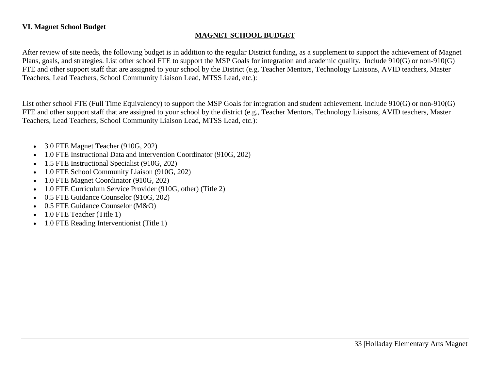#### **VI. Magnet School Budget**

#### **MAGNET SCHOOL BUDGET**

After review of site needs, the following budget is in addition to the regular District funding, as a supplement to support the achievement of Magnet Plans, goals, and strategies. List other school FTE to support the MSP Goals for integration and academic quality. Include 910(G) or non-910(G) FTE and other support staff that are assigned to your school by the District (e.g. Teacher Mentors, Technology Liaisons, AVID teachers, Master Teachers, Lead Teachers, School Community Liaison Lead, MTSS Lead, etc.):

List other school FTE (Full Time Equivalency) to support the MSP Goals for integration and student achievement. Include 910(G) or non-910(G) FTE and other support staff that are assigned to your school by the district (e.g., Teacher Mentors, Technology Liaisons, AVID teachers, Master Teachers, Lead Teachers, School Community Liaison Lead, MTSS Lead, etc.):

- 3.0 FTE Magnet Teacher (910G, 202)
- 1.0 FTE Instructional Data and Intervention Coordinator (910G, 202)
- 1.5 FTE Instructional Specialist (910G, 202)
- 1.0 FTE School Community Liaison (910G, 202)
- 1.0 FTE Magnet Coordinator (910G, 202)
- 1.0 FTE Curriculum Service Provider (910G, other) (Title 2)
- 0.5 FTE Guidance Counselor (910G, 202)
- 0.5 FTE Guidance Counselor (M&O)
- 1.0 FTE Teacher (Title 1)
- 1.0 FTE Reading Interventionist (Title 1)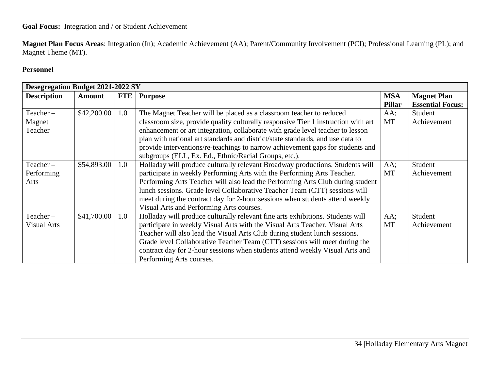# **Goal Focus:** Integration and / or Student Achievement

**Magnet Plan Focus Areas**: Integration (In); Academic Achievement (AA); Parent/Community Involvement (PCI); Professional Learning (PL); and Magnet Theme (MT).

### **Personnel**

|                    | <b>Desegregation Budget 2021-2022 SY</b> |            |                                                                                   |               |                         |  |
|--------------------|------------------------------------------|------------|-----------------------------------------------------------------------------------|---------------|-------------------------|--|
| <b>Description</b> | <b>Amount</b>                            | <b>FTE</b> | <b>Purpose</b>                                                                    | <b>MSA</b>    | <b>Magnet Plan</b>      |  |
|                    |                                          |            |                                                                                   | <b>Pillar</b> | <b>Essential Focus:</b> |  |
| Teacher-           | \$42,200.00                              | 1.0        | The Magnet Teacher will be placed as a classroom teacher to reduced               | AA;           | Student                 |  |
| Magnet             |                                          |            | classroom size, provide quality culturally responsive Tier 1 instruction with art | MT            | Achievement             |  |
| Teacher            |                                          |            | enhancement or art integration, collaborate with grade level teacher to lesson    |               |                         |  |
|                    |                                          |            | plan with national art standards and district/state standards, and use data to    |               |                         |  |
|                    |                                          |            | provide interventions/re-teachings to narrow achievement gaps for students and    |               |                         |  |
|                    |                                          |            | subgroups (ELL, Ex. Ed., Ethnic/Racial Groups, etc.).                             |               |                         |  |
| Teacher-           | \$54,893.00                              | 1.0        | Holladay will produce culturally relevant Broadway productions. Students will     | $AA$ ;        | Student                 |  |
| Performing         |                                          |            | participate in weekly Performing Arts with the Performing Arts Teacher.           | MT            | Achievement             |  |
| Arts               |                                          |            | Performing Arts Teacher will also lead the Performing Arts Club during student    |               |                         |  |
|                    |                                          |            | lunch sessions. Grade level Collaborative Teacher Team (CTT) sessions will        |               |                         |  |
|                    |                                          |            | meet during the contract day for 2-hour sessions when students attend weekly      |               |                         |  |
|                    |                                          |            | Visual Arts and Performing Arts courses.                                          |               |                         |  |
| Teacher-           | \$41,700.00                              | 1.0        | Holladay will produce culturally relevant fine arts exhibitions. Students will    | $AA$ ;        | Student                 |  |
| <b>Visual Arts</b> |                                          |            | participate in weekly Visual Arts with the Visual Arts Teacher. Visual Arts       | <b>MT</b>     | Achievement             |  |
|                    |                                          |            | Teacher will also lead the Visual Arts Club during student lunch sessions.        |               |                         |  |
|                    |                                          |            | Grade level Collaborative Teacher Team (CTT) sessions will meet during the        |               |                         |  |
|                    |                                          |            | contract day for 2-hour sessions when students attend weekly Visual Arts and      |               |                         |  |
|                    |                                          |            | Performing Arts courses.                                                          |               |                         |  |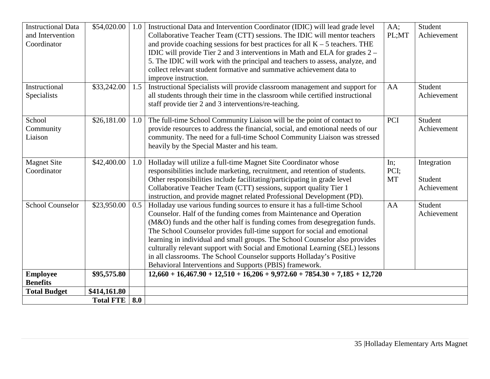| <b>Instructional Data</b><br>and Intervention<br>Coordinator | \$54,020.00      | 1.0 | Instructional Data and Intervention Coordinator (IDIC) will lead grade level<br>Collaborative Teacher Team (CTT) sessions. The IDIC will mentor teachers<br>and provide coaching sessions for best practices for all $K - 5$ teachers. THE<br>IDIC will provide Tier 2 and 3 interventions in Math and ELA for grades 2 –<br>5. The IDIC will work with the principal and teachers to assess, analyze, and<br>collect relevant student formative and summative achievement data to<br>improve instruction.                                                                                                 | $AA$ ;<br>PL;MT          | Student<br>Achievement                |
|--------------------------------------------------------------|------------------|-----|------------------------------------------------------------------------------------------------------------------------------------------------------------------------------------------------------------------------------------------------------------------------------------------------------------------------------------------------------------------------------------------------------------------------------------------------------------------------------------------------------------------------------------------------------------------------------------------------------------|--------------------------|---------------------------------------|
| Instructional<br>Specialists                                 | \$33,242.00      | 1.5 | Instructional Specialists will provide classroom management and support for<br>all students through their time in the classroom while certified instructional<br>staff provide tier 2 and 3 interventions/re-teaching.                                                                                                                                                                                                                                                                                                                                                                                     | AA                       | Student<br>Achievement                |
| School<br>Community<br>Liaison                               | \$26,181.00      | 1.0 | The full-time School Community Liaison will be the point of contact to<br>provide resources to address the financial, social, and emotional needs of our<br>community. The need for a full-time School Community Liaison was stressed<br>heavily by the Special Master and his team.                                                                                                                                                                                                                                                                                                                       | PCI                      | Student<br>Achievement                |
| <b>Magnet Site</b><br>Coordinator                            | \$42,400.00      | 1.0 | Holladay will utilize a full-time Magnet Site Coordinator whose<br>responsibilities include marketing, recruitment, and retention of students.<br>Other responsibilities include facilitating/participating in grade level<br>Collaborative Teacher Team (CTT) sessions, support quality Tier 1<br>instruction, and provide magnet related Professional Development (PD).                                                                                                                                                                                                                                  | In:<br>PCI;<br><b>MT</b> | Integration<br>Student<br>Achievement |
| <b>School Counselor</b>                                      | \$23,950.00      | 0.5 | Holladay use various funding sources to ensure it has a full-time School<br>Counselor. Half of the funding comes from Maintenance and Operation<br>(M&O) funds and the other half is funding comes from desegregation funds.<br>The School Counselor provides full-time support for social and emotional<br>learning in individual and small groups. The School Counselor also provides<br>culturally relevant support with Social and Emotional Learning (SEL) lessons<br>in all classrooms. The School Counselor supports Holladay's Positive<br>Behavioral Interventions and Supports (PBIS) framework. | AA                       | Student<br>Achievement                |
| <b>Employee</b><br><b>Benefits</b>                           | \$95,575.80      |     | $12,660 + 16,467.90 + 12,510 + 16,206 + 9,972.60 + 7854.30 + 7,185 + 12,720$                                                                                                                                                                                                                                                                                                                                                                                                                                                                                                                               |                          |                                       |
| <b>Total Budget</b>                                          | \$414,161.80     |     |                                                                                                                                                                                                                                                                                                                                                                                                                                                                                                                                                                                                            |                          |                                       |
|                                                              | <b>Total FTE</b> | 8.0 |                                                                                                                                                                                                                                                                                                                                                                                                                                                                                                                                                                                                            |                          |                                       |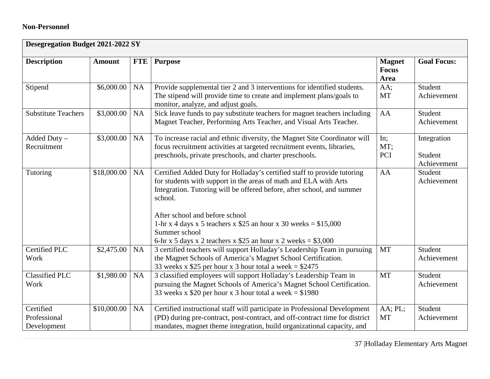# **Non-Personnel**

| <b>Desegregation Budget 2021-2022 SY</b> |               |            |                                                                                                                                                                                                                                                                                                                                                                                                                           |                                              |                                       |
|------------------------------------------|---------------|------------|---------------------------------------------------------------------------------------------------------------------------------------------------------------------------------------------------------------------------------------------------------------------------------------------------------------------------------------------------------------------------------------------------------------------------|----------------------------------------------|---------------------------------------|
| <b>Description</b>                       | <b>Amount</b> | <b>FTE</b> | <b>Purpose</b>                                                                                                                                                                                                                                                                                                                                                                                                            | <b>Magnet</b><br><b>Focus</b><br><b>Area</b> | <b>Goal Focus:</b>                    |
| Stipend                                  | \$6,000.00    | NA         | Provide supplemental tier 2 and 3 interventions for identified students.<br>The stipend will provide time to create and implement plans/goals to<br>monitor, analyze, and adjust goals.                                                                                                                                                                                                                                   | AA;<br><b>MT</b>                             | Student<br>Achievement                |
| <b>Substitute Teachers</b>               | \$3,000.00    | NA         | Sick leave funds to pay substitute teachers for magnet teachers including<br>Magnet Teacher, Performing Arts Teacher, and Visual Arts Teacher.                                                                                                                                                                                                                                                                            | AA                                           | Student<br>Achievement                |
| Added Duty $-$<br>Recruitment            | \$3,000.00    | NA         | To increase racial and ethnic diversity, the Magnet Site Coordinator will<br>focus recruitment activities at targeted recruitment events, libraries,<br>preschools, private preschools, and charter preschools.                                                                                                                                                                                                           | In;<br>MT;<br>PCI                            | Integration<br>Student<br>Achievement |
| Tutoring                                 | \$18,000.00   | NA         | Certified Added Duty for Holladay's certified staff to provide tutoring<br>for students with support in the areas of math and ELA with Arts<br>Integration. Tutoring will be offered before, after school, and summer<br>school.<br>After school and before school<br>1-hr x 4 days x 5 teachers x \$25 an hour x 30 weeks = $$15,000$<br>Summer school<br>6-hr x 5 days x 2 teachers x \$25 an hour x 2 weeks = $$3,000$ | AA                                           | Student<br>Achievement                |
| <b>Certified PLC</b><br>Work             | \$2,475.00    | NA         | 3 certified teachers will support Holladay's Leadership Team in pursuing<br>the Magnet Schools of America's Magnet School Certification.<br>33 weeks x \$25 per hour x 3 hour total a week = $$2475$                                                                                                                                                                                                                      | <b>MT</b>                                    | Student<br>Achievement                |
| <b>Classified PLC</b><br>Work            | \$1,980.00    | NA         | 3 classified employees will support Holladay's Leadership Team in<br>pursuing the Magnet Schools of America's Magnet School Certification.<br>33 weeks x \$20 per hour x 3 hour total a week = $$1980$                                                                                                                                                                                                                    | <b>MT</b>                                    | Student<br>Achievement                |
| Certified<br>Professional<br>Development | \$10,000.00   | <b>NA</b>  | Certified instructional staff will participate in Professional Development<br>(PD) during pre-contract, post-contract, and off-contract time for district<br>mandates, magnet theme integration, build organizational capacity, and                                                                                                                                                                                       | AA; PL;<br><b>MT</b>                         | Student<br>Achievement                |